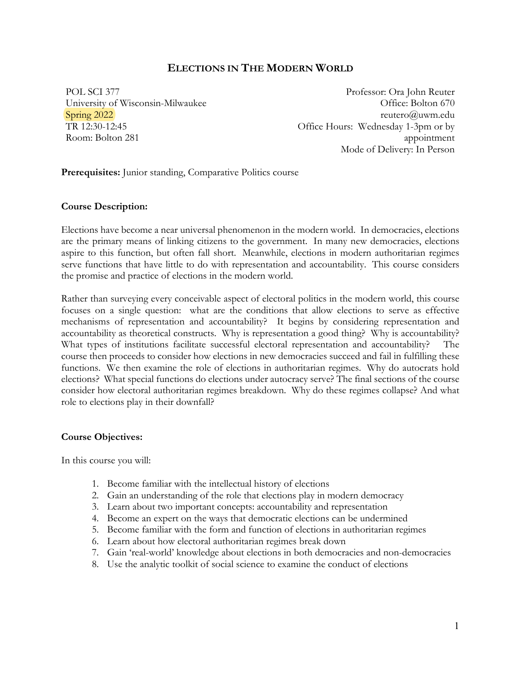# **ELECTIONS IN THE MODERN WORLD**

POL SCI 377 University of Wisconsin-Milwaukee Spring 2022 TR 12:30-12:45 Room: Bolton 281

Professor: Ora John Reuter Office: Bolton 670 reutero@uwm.edu Office Hours: Wednesday 1-3pm or by appointment Mode of Delivery: In Person

Prerequisites: Junior standing, Comparative Politics course

### **Course Description:**

Elections have become a near universal phenomenon in the modern world. In democracies, elections are the primary means of linking citizens to the government. In many new democracies, elections aspire to this function, but often fall short. Meanwhile, elections in modern authoritarian regimes serve functions that have little to do with representation and accountability. This course considers the promise and practice of elections in the modern world.

Rather than surveying every conceivable aspect of electoral politics in the modern world, this course focuses on a single question: what are the conditions that allow elections to serve as effective mechanisms of representation and accountability? It begins by considering representation and accountability as theoretical constructs. Why is representation a good thing? Why is accountability? What types of institutions facilitate successful electoral representation and accountability? The course then proceeds to consider how elections in new democracies succeed and fail in fulfilling these functions. We then examine the role of elections in authoritarian regimes. Why do autocrats hold elections? What special functions do elections under autocracy serve? The final sections of the course consider how electoral authoritarian regimes breakdown. Why do these regimes collapse? And what role to elections play in their downfall?

# **Course Objectives:**

In this course you will:

- 1. Become familiar with the intellectual history of elections
- 2. Gain an understanding of the role that elections play in modern democracy
- 3. Learn about two important concepts: accountability and representation
- 4. Become an expert on the ways that democratic elections can be undermined
- 5. Become familiar with the form and function of elections in authoritarian regimes
- 6. Learn about how electoral authoritarian regimes break down
- 7. Gain 'real-world' knowledge about elections in both democracies and non-democracies
- 8. Use the analytic toolkit of social science to examine the conduct of elections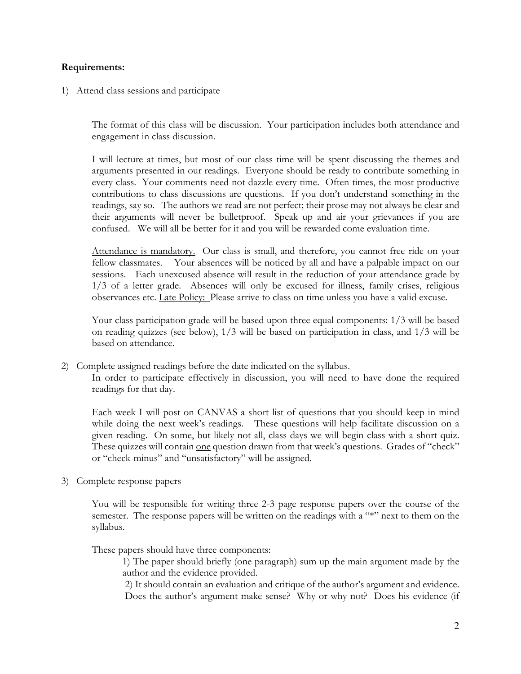### **Requirements:**

1) Attend class sessions and participate

The format of this class will be discussion. Your participation includes both attendance and engagement in class discussion.

I will lecture at times, but most of our class time will be spent discussing the themes and arguments presented in our readings. Everyone should be ready to contribute something in every class. Your comments need not dazzle every time. Often times, the most productive contributions to class discussions are questions. If you don't understand something in the readings, say so. The authors we read are not perfect; their prose may not always be clear and their arguments will never be bulletproof. Speak up and air your grievances if you are confused. We will all be better for it and you will be rewarded come evaluation time.

Attendance is mandatory. Our class is small, and therefore, you cannot free ride on your fellow classmates. Your absences will be noticed by all and have a palpable impact on our sessions. Each unexcused absence will result in the reduction of your attendance grade by 1/3 of a letter grade. Absences will only be excused for illness, family crises, religious observances etc. Late Policy: Please arrive to class on time unless you have a valid excuse.

Your class participation grade will be based upon three equal components: 1/3 will be based on reading quizzes (see below), 1/3 will be based on participation in class, and 1/3 will be based on attendance.

2) Complete assigned readings before the date indicated on the syllabus. In order to participate effectively in discussion, you will need to have done the required readings for that day.

Each week I will post on CANVAS a short list of questions that you should keep in mind while doing the next week's readings. These questions will help facilitate discussion on a given reading. On some, but likely not all, class days we will begin class with a short quiz. These quizzes will contain one question drawn from that week's questions. Grades of "check" or "check-minus" and "unsatisfactory" will be assigned.

3) Complete response papers

You will be responsible for writing three 2-3 page response papers over the course of the semester. The response papers will be written on the readings with a "\*" next to them on the syllabus.

These papers should have three components:

1) The paper should briefly (one paragraph) sum up the main argument made by the author and the evidence provided.

2) It should contain an evaluation and critique of the author's argument and evidence. Does the author's argument make sense? Why or why not? Does his evidence (if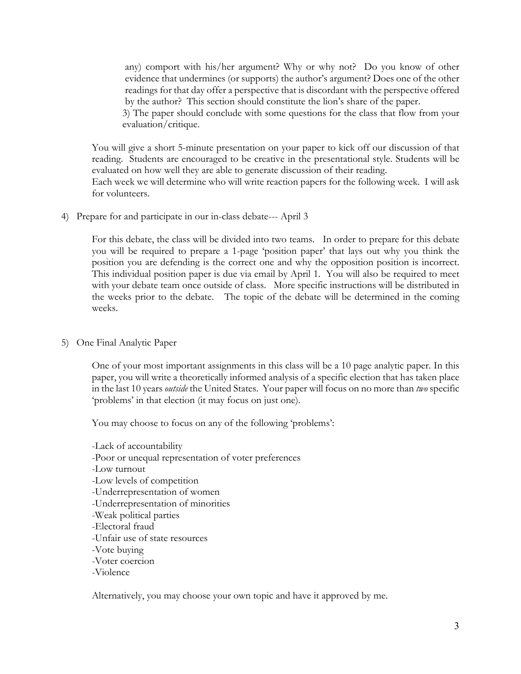any) comport with his/her argument? Why or why not? Do you know of other evidence that undermines (or supports) the author's argument? Does one of the other readings for that day offer a perspective that is discordant with the perspective offered by the author? This section should constitute the lion's share of the paper.

3) The paper should conclude with some questions for the class that flow from your evaluation/critique.

You will give a short 5-minute presentation on your paper to kick off our discussion of that reading. Students are encouraged to be creative in the presentational style. Students will be evaluated on how well they are able to generate discussion of their reading.

Each week we will determine who will write reaction papers for the following week. I will ask for volunteers.

4) Prepare for and participate in our in-class debate--- April 3

For this debate, the class will be divided into two teams. In order to prepare for this debate you will be required to prepare a 1-page 'position paper' that lays out why you think the position you are defending is the correct one and why the opposition position is incorrect. This individual position paper is due via email by April 1. You will also be required to meet with your debate team once outside of class. More specific instructions will be distributed in the weeks prior to the debate. The topic of the debate will be determined in the coming weeks.

5) One Final Analytic Paper

One of your most important assignments in this class will be a 10 page analytic paper. In this paper, you will write a theoretically informed analysis of a specific election that has taken place in the last 10 years *outside* the United States. Your paper will focus on no more than *two* specific 'problems' in that election (it may focus on just one).

You may choose to focus on any of the following 'problems':

- -Lack of accountability -Poor or unequal representation of voter preferences -Low turnout -Low levels of competition -Underrepresentation of women -Underrepresentation of minorities -Weak political parties -Electoral fraud -Unfair use of state resources -Vote buying -Voter coercion
- -Violence

Alternatively, you may choose your own topic and have it approved by me.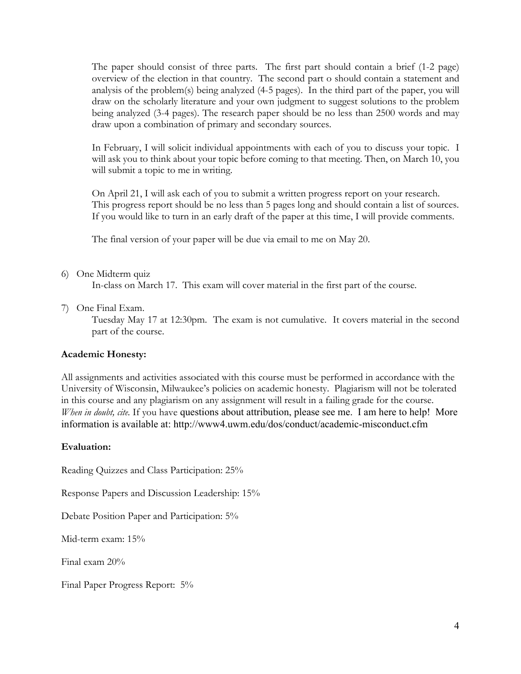The paper should consist of three parts. The first part should contain a brief (1-2 page) overview of the election in that country. The second part o should contain a statement and analysis of the problem(s) being analyzed (4-5 pages). In the third part of the paper, you will draw on the scholarly literature and your own judgment to suggest solutions to the problem being analyzed (3-4 pages). The research paper should be no less than 2500 words and may draw upon a combination of primary and secondary sources.

In February, I will solicit individual appointments with each of you to discuss your topic. I will ask you to think about your topic before coming to that meeting. Then, on March 10, you will submit a topic to me in writing.

On April 21, I will ask each of you to submit a written progress report on your research. This progress report should be no less than 5 pages long and should contain a list of sources. If you would like to turn in an early draft of the paper at this time, I will provide comments.

The final version of your paper will be due via email to me on May 20.

# 6) One Midterm quiz

In-class on March 17. This exam will cover material in the first part of the course.

7) One Final Exam.

Tuesday May 17 at 12:30pm. The exam is not cumulative. It covers material in the second part of the course.

### **Academic Honesty:**

All assignments and activities associated with this course must be performed in accordance with the University of Wisconsin, Milwaukee's policies on academic honesty. Plagiarism will not be tolerated in this course and any plagiarism on any assignment will result in a failing grade for the course. *When in doubt, cite.* If you have questions about attribution, please see me. I am here to help! More information is available at: http://www4.uwm.edu/dos/conduct/academic-misconduct.cfm

### **Evaluation:**

Reading Quizzes and Class Participation: 25%

Response Papers and Discussion Leadership: 15%

Debate Position Paper and Participation: 5%

Mid-term exam: 15%

Final exam 20%

Final Paper Progress Report: 5%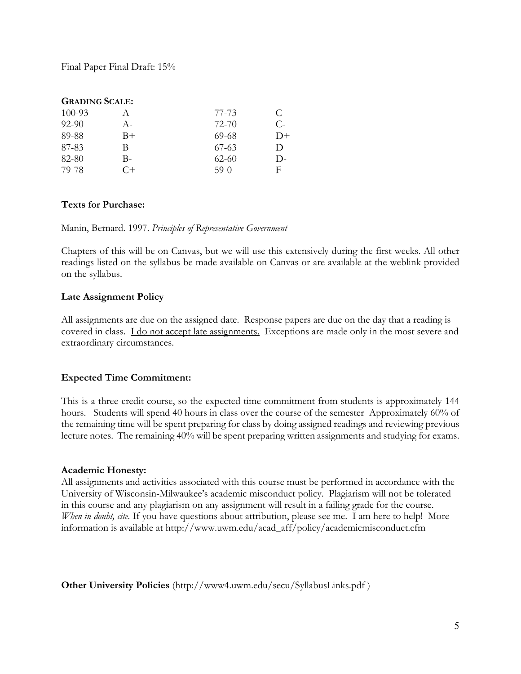Final Paper Final Draft: 15%

# **GRADING SCALE:**

| $100 - 93$ |       | 77-73     | €            |
|------------|-------|-----------|--------------|
| $92 - 90$  | $A -$ | 72-70     | С-           |
| 89-88      | B+    | 69-68     | $D+$         |
| 87-83      | R     | $67-63$   | $\mathsf{D}$ |
| 82-80      | В-    | $62 - 60$ | $\mathbf{D}$ |
| 79-78      | C+    | $59-0$    | Ħ.           |

# **Texts for Purchase:**

Manin, Bernard. 1997. *Principles of Representative Government*

Chapters of this will be on Canvas, but we will use this extensively during the first weeks. All other readings listed on the syllabus be made available on Canvas or are available at the weblink provided on the syllabus.

# **Late Assignment Policy**

All assignments are due on the assigned date. Response papers are due on the day that a reading is covered in class. I do not accept late assignments. Exceptions are made only in the most severe and extraordinary circumstances.

# **Expected Time Commitment:**

This is a three-credit course, so the expected time commitment from students is approximately 144 hours. Students will spend 40 hours in class over the course of the semester Approximately 60% of the remaining time will be spent preparing for class by doing assigned readings and reviewing previous lecture notes. The remaining 40% will be spent preparing written assignments and studying for exams.

# **Academic Honesty:**

All assignments and activities associated with this course must be performed in accordance with the University of Wisconsin-Milwaukee's academic misconduct policy. Plagiarism will not be tolerated in this course and any plagiarism on any assignment will result in a failing grade for the course. *When in doubt, cite.* If you have questions about attribution, please see me. I am here to help! More information is available at http://www.uwm.edu/acad\_aff/policy/academicmisconduct.cfm

**Other University Policies** (http://www4.uwm.edu/secu/SyllabusLinks.pdf )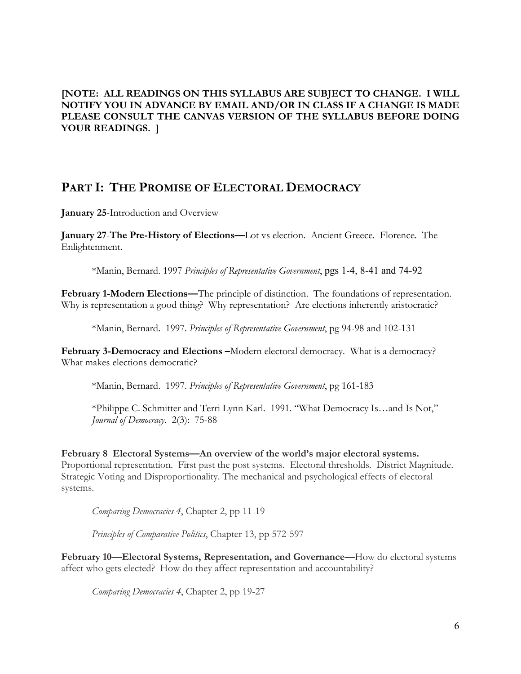# **[NOTE: ALL READINGS ON THIS SYLLABUS ARE SUBJECT TO CHANGE. I WILL NOTIFY YOU IN ADVANCE BY EMAIL AND/OR IN CLASS IF A CHANGE IS MADE PLEASE CONSULT THE CANVAS VERSION OF THE SYLLABUS BEFORE DOING YOUR READINGS. ]**

# **PART I: THE PROMISE OF ELECTORAL DEMOCRACY**

**January 25**-Introduction and Overview

**January 27**-**The Pre-History of Elections—**Lot vs election. Ancient Greece. Florence. The Enlightenment.

\*Manin, Bernard. 1997 *Principles of Representative Government*, pgs 1-4, 8-41 and 74-92

**February 1-Modern Elections—**The principle of distinction. The foundations of representation. Why is representation a good thing? Why representation? Are elections inherently aristocratic?

\*Manin, Bernard. 1997. *Principles of Representative Government*, pg 94-98 and 102-131

**February 3-Democracy and Elections –**Modern electoral democracy. What is a democracy? What makes elections democratic?

\*Manin, Bernard. 1997. *Principles of Representative Government*, pg 161-183

\*Philippe C. Schmitter and Terri Lynn Karl. 1991. "What Democracy Is…and Is Not," *Journal of Democracy*. 2(3): 75-88

**February 8 Electoral Systems—An overview of the world's major electoral systems.**  Proportional representation. First past the post systems. Electoral thresholds. District Magnitude. Strategic Voting and Disproportionality. The mechanical and psychological effects of electoral systems.

*Comparing Democracies 4*, Chapter 2, pp 11-19

*Principles of Comparative Politics*, Chapter 13, pp 572-597

**February 10—Electoral Systems, Representation, and Governance—**How do electoral systems affect who gets elected? How do they affect representation and accountability?

*Comparing Democracies 4*, Chapter 2, pp 19-27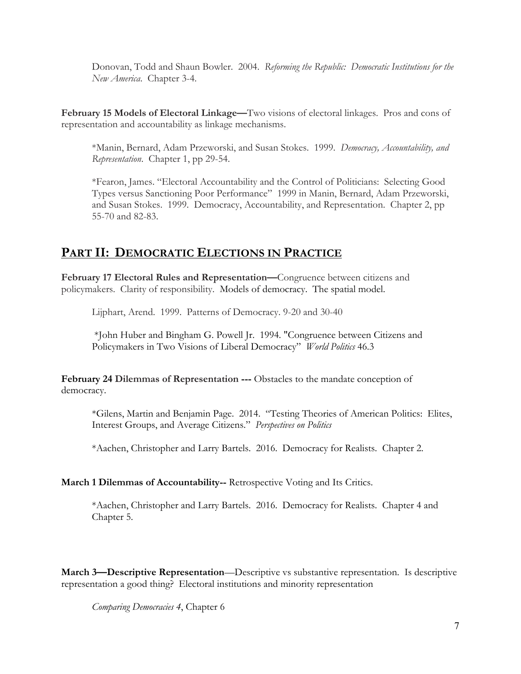Donovan, Todd and Shaun Bowler. 2004. *Reforming the Republic: Democratic Institutions for the New America*. Chapter 3-4.

**February 15 Models of Electoral Linkage—**Two visions of electoral linkages. Pros and cons of representation and accountability as linkage mechanisms.

\*Manin, Bernard, Adam Przeworski, and Susan Stokes. 1999. *Democracy, Accountability, and Representation*. Chapter 1, pp 29-54.

\*Fearon, James. "Electoral Accountability and the Control of Politicians: Selecting Good Types versus Sanctioning Poor Performance" 1999 in Manin, Bernard, Adam Przeworski, and Susan Stokes. 1999. Democracy, Accountability, and Representation. Chapter 2, pp 55-70 and 82-83.

# **PART II: DEMOCRATIC ELECTIONS IN PRACTICE**

**February 17 Electoral Rules and Representation—**Congruence between citizens and policymakers. Clarity of responsibility. Models of democracy. The spatial model.

Lijphart, Arend. 1999. Patterns of Democracy. 9-20 and 30-40

\*John Huber and Bingham G. Powell Jr. 1994. "Congruence between Citizens and Policymakers in Two Visions of Liberal Democracy" *World Politics* 46.3

**February 24 Dilemmas of Representation ---** Obstacles to the mandate conception of democracy.

\*Gilens, Martin and Benjamin Page. 2014. "Testing Theories of American Politics: Elites, Interest Groups, and Average Citizens." *Perspectives on Politics*

\*Aachen, Christopher and Larry Bartels. 2016. Democracy for Realists. Chapter 2.

# **March 1 Dilemmas of Accountability--** Retrospective Voting and Its Critics.

\*Aachen, Christopher and Larry Bartels. 2016. Democracy for Realists. Chapter 4 and Chapter 5.

**March 3—Descriptive Representation**—Descriptive vs substantive representation. Is descriptive representation a good thing? Electoral institutions and minority representation

*Comparing Democracies 4*, Chapter 6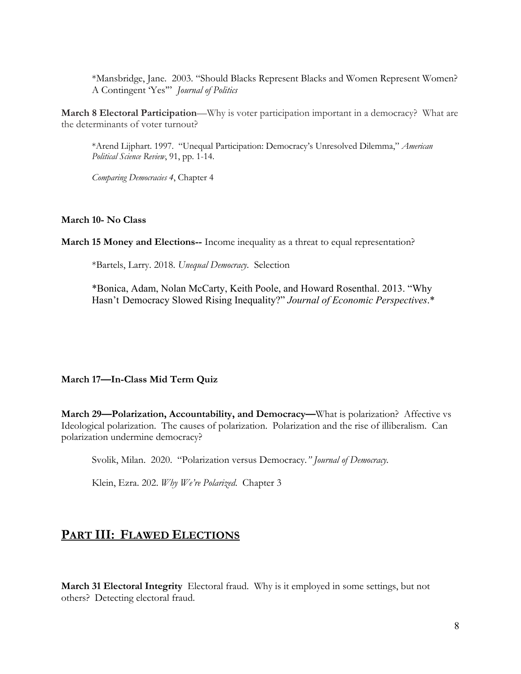\*Mansbridge, Jane. 2003. "Should Blacks Represent Blacks and Women Represent Women? A Contingent 'Yes'" *Journal of Politics*

**March 8 Electoral Participation**—Why is voter participation important in a democracy? What are the determinants of voter turnout?

\*Arend Lijphart. 1997. "Unequal Participation: Democracy's Unresolved Dilemma," *American Political Science Review*, 91, pp. 1-14.

*Comparing Democracies 4*, Chapter 4

### **March 10- No Class**

**March 15 Money and Elections--** Income inequality as a threat to equal representation?

\*Bartels, Larry. 2018. *Unequal Democracy*. Selection

\*Bonica, Adam, Nolan McCarty, Keith Poole, and Howard Rosenthal. 2013. "Why Hasn't Democracy Slowed Rising Inequality?" *Journal of Economic Perspectives*.\*

### **March 17—In-Class Mid Term Quiz**

**March 29—Polarization, Accountability, and Democracy—**What is polarization? Affective vs Ideological polarization. The causes of polarization. Polarization and the rise of illiberalism. Can polarization undermine democracy?

Svolik, Milan. 2020. "Polarization versus Democracy*." Journal of Democracy.*

Klein, Ezra. 202. *Why We're Polarized*. Chapter 3

# **PART III: FLAWED ELECTIONS**

**March 31 Electoral Integrity** Electoral fraud. Why is it employed in some settings, but not others? Detecting electoral fraud.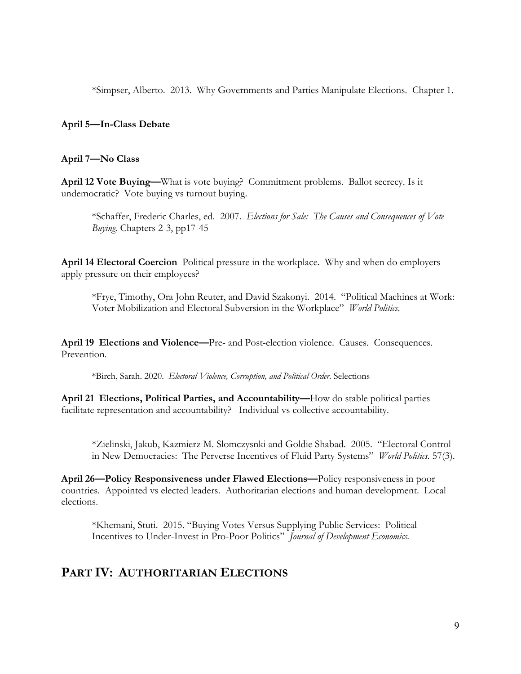\*Simpser, Alberto. 2013. Why Governments and Parties Manipulate Elections. Chapter 1.

### **April 5—In-Class Debate**

### **April 7—No Class**

**April 12 Vote Buying—**What is vote buying? Commitment problems. Ballot secrecy. Is it undemocratic? Vote buying vs turnout buying.

\*Schaffer, Frederic Charles, ed. 2007. *Elections for Sale: The Causes and Consequences of Vote Buying.* Chapters 2-3, pp17-45

**April 14 Electoral Coercion** Political pressure in the workplace. Why and when do employers apply pressure on their employees?

\*Frye, Timothy, Ora John Reuter, and David Szakonyi. 2014. "Political Machines at Work: Voter Mobilization and Electoral Subversion in the Workplace" *World Politics.*

**April 19 Elections and Violence—**Pre- and Post-election violence. Causes. Consequences. Prevention.

\*Birch, Sarah. 2020. *Electoral Violence, Corruption, and Political Order*. Selections

**April 21 Elections, Political Parties, and Accountability—**How do stable political parties facilitate representation and accountability?Individual vs collective accountability.

\*Zielinski, Jakub, Kazmierz M. Slomczysnki and Goldie Shabad. 2005. "Electoral Control in New Democracies: The Perverse Incentives of Fluid Party Systems" *World Politics.* 57(3).

**April 26—Policy Responsiveness under Flawed Elections—**Policy responsiveness in poor countries. Appointed vs elected leaders. Authoritarian elections and human development. Local elections.

\*Khemani, Stuti. 2015. "Buying Votes Versus Supplying Public Services: Political Incentives to Under-Invest in Pro-Poor Politics" *Journal of Development Economics.*

# **PART IV: AUTHORITARIAN ELECTIONS**